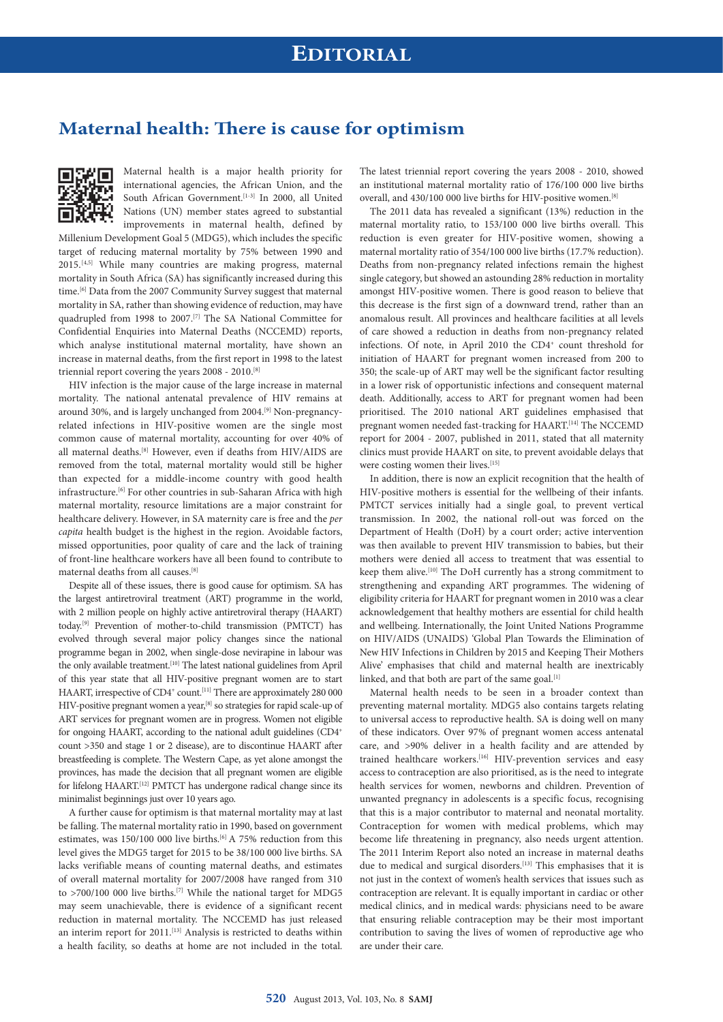## **Maternal health: There is cause for optimism**



Maternal health is a major health priority for international agencies, the African Union, and the South African Government.<sup>[1-3]</sup> In 2000, all United Nations (UN) member states agreed to substantial improvements in maternal health, defined by

Millenium Development Goal 5 (MDG5), which includes the specific target of reducing maternal mortality by 75% between 1990 and 2015.[4,5] While many countries are making progress, maternal mortality in South Africa (SA) has significantly increased during this time.<sup>[6]</sup> Data from the 2007 Community Survey suggest that maternal mortality in SA, rather than showing evidence of reduction, may have quadrupled from 1998 to 2007.[7] The SA National Committee for Confidential Enquiries into Maternal Deaths (NCCEMD) reports, which analyse institutional maternal mortality, have shown an increase in maternal deaths, from the first report in 1998 to the latest triennial report covering the years 2008 - 2010.[8]

HIV infection is the major cause of the large increase in maternal mortality. The national antenatal prevalence of HIV remains at around 30%, and is largely unchanged from 2004.[9] Non-pregnancyrelated infections in HIV-positive women are the single most common cause of maternal mortality, accounting for over 40% of all maternal deaths.[8] However, even if deaths from HIV/AIDS are removed from the total, maternal mortality would still be higher than expected for a middle-income country with good health infrastructure.<sup>[6]</sup> For other countries in sub-Saharan Africa with high maternal mortality, resource limitations are a major constraint for healthcare delivery. However, in SA maternity care is free and the *per capita* health budget is the highest in the region. Avoidable factors, missed opportunities, poor quality of care and the lack of training of front-line healthcare workers have all been found to contribute to maternal deaths from all causes.[8]

Despite all of these issues, there is good cause for optimism. SA has the largest antiretroviral treatment (ART) programme in the world, with 2 million people on highly active antiretroviral therapy (HAART) today.[9] Prevention of mother-to-child transmission (PMTCT) has evolved through several major policy changes since the national programme began in 2002, when single-dose nevirapine in labour was the only available treatment.[10] The latest national guidelines from April of this year state that all HIV-positive pregnant women are to start HAART, irrespective of CD4<sup>+</sup> count.<sup>[11]</sup> There are approximately 280 000 HIV-positive pregnant women a year,<sup>[8]</sup> so strategies for rapid scale-up of ART services for pregnant women are in progress. Women not eligible for ongoing HAART, according to the national adult guidelines (CD4+ count >350 and stage 1 or 2 disease), are to discontinue HAART after breastfeeding is complete. The Western Cape, as yet alone amongst the provinces, has made the decision that all pregnant women are eligible for lifelong HAART.[12] PMTCT has undergone radical change since its minimalist beginnings just over 10 years ago.

A further cause for optimism is that maternal mortality may at last be falling. The maternal mortality ratio in 1990, based on government estimates, was 150/100 000 live births.<sup>[6]</sup> A 75% reduction from this level gives the MDG5 target for 2015 to be 38/100 000 live births. SA lacks verifiable means of counting maternal deaths, and estimates of overall maternal mortality for 2007/2008 have ranged from 310 to >700/100 000 live births.<sup>[7]</sup> While the national target for MDG5 may seem unachievable, there is evidence of a significant recent reduction in maternal mortality. The NCCEMD has just released an interim report for 2011.<sup>[13]</sup> Analysis is restricted to deaths within a health facility, so deaths at home are not included in the total.

The latest triennial report covering the years 2008 - 2010, showed an institutional maternal mortality ratio of 176/100 000 live births overall, and 430/100 000 live births for HIV-positive women.[8]

The 2011 data has revealed a significant (13%) reduction in the maternal mortality ratio, to 153/100 000 live births overall. This reduction is even greater for HIV-positive women, showing a maternal mortality ratio of 354/100 000 live births (17.7% reduction). Deaths from non-pregnancy related infections remain the highest single category, but showed an astounding 28% reduction in mortality amongst HIV-positive women. There is good reason to believe that this decrease is the first sign of a downward trend, rather than an anomalous result. All provinces and healthcare facilities at all levels of care showed a reduction in deaths from non-pregnancy related infections. Of note, in April 2010 the CD4<sup>+</sup> count threshold for initiation of HAART for pregnant women increased from 200 to 350; the scale-up of ART may well be the significant factor resulting in a lower risk of opportunistic infections and consequent maternal death. Additionally, access to ART for pregnant women had been prioritised. The 2010 national ART guidelines emphasised that pregnant women needed fast-tracking for HAART.<sup>[14]</sup> The NCCEMD report for 2004 - 2007, published in 2011, stated that all maternity clinics must provide HAART on site, to prevent avoidable delays that were costing women their lives.<sup>[15]</sup>

In addition, there is now an explicit recognition that the health of HIV-positive mothers is essential for the wellbeing of their infants. PMTCT services initially had a single goal, to prevent vertical transmission. In 2002, the national roll-out was forced on the Department of Health (DoH) by a court order; active intervention was then available to prevent HIV transmission to babies, but their mothers were denied all access to treatment that was essential to keep them alive.[10] The DoH currently has a strong commitment to strengthening and expanding ART programmes. The widening of eligibility criteria for HAART for pregnant women in 2010 was a clear acknowledgement that healthy mothers are essential for child health and wellbeing. Internationally, the Joint United Nations Programme on HIV/AIDS (UNAIDS) 'Global Plan Towards the Elimination of New HIV Infections in Children by 2015 and Keeping Their Mothers Alive' emphasises that child and maternal health are inextricably linked, and that both are part of the same goal.<sup>[1]</sup>

Maternal health needs to be seen in a broader context than preventing maternal mortality. MDG5 also contains targets relating to universal access to reproductive health. SA is doing well on many of these indicators. Over 97% of pregnant women access antenatal care, and >90% deliver in a health facility and are attended by trained healthcare workers.<sup>[16]</sup> HIV-prevention services and easy access to contraception are also prioritised, as is the need to integrate health services for women, newborns and children. Prevention of unwanted pregnancy in adolescents is a specific focus, recognising that this is a major contributor to maternal and neonatal mortality. Contraception for women with medical problems, which may become life threatening in pregnancy, also needs urgent attention. The 2011 Interim Report also noted an increase in maternal deaths due to medical and surgical disorders.<sup>[13]</sup> This emphasises that it is not just in the context of women's health services that issues such as contraception are relevant. It is equally important in cardiac or other medical clinics, and in medical wards: physicians need to be aware that ensuring reliable contraception may be their most important contribution to saving the lives of women of reproductive age who are under their care.